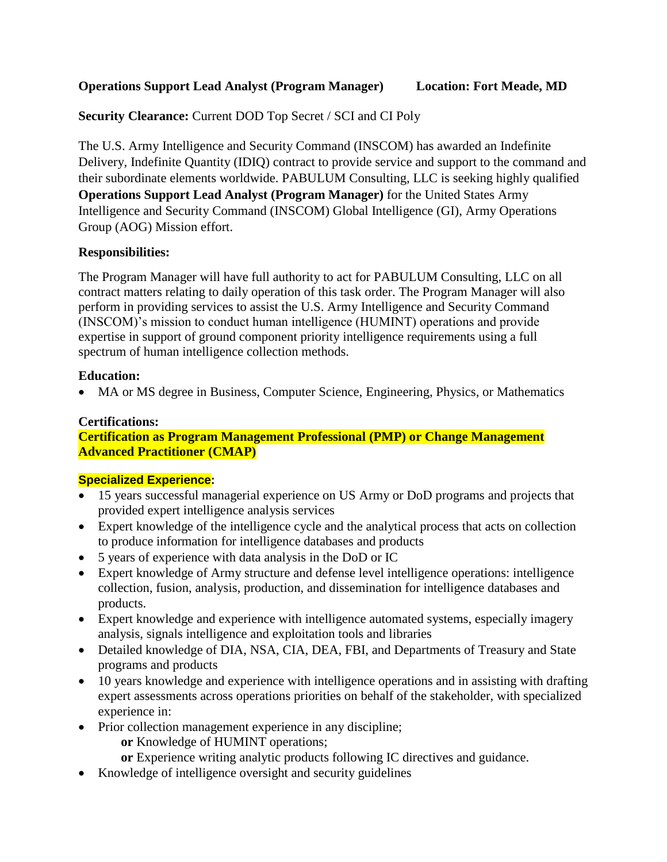## **Operations Support Lead Analyst (Program Manager) Location: Fort Meade, MD**

**Security Clearance:** Current DOD Top Secret / SCI and CI Poly

The U.S. Army Intelligence and Security Command (INSCOM) has awarded an Indefinite Delivery, Indefinite Quantity (IDIQ) contract to provide service and support to the command and their subordinate elements worldwide. PABULUM Consulting, LLC is seeking highly qualified **Operations Support Lead Analyst (Program Manager)** for the United States Army Intelligence and Security Command (INSCOM) Global Intelligence (GI), Army Operations Group (AOG) Mission effort.

## **Responsibilities:**

The Program Manager will have full authority to act for PABULUM Consulting, LLC on all contract matters relating to daily operation of this task order. The Program Manager will also perform in providing services to assist the U.S. Army Intelligence and Security Command (INSCOM)'s mission to conduct human intelligence (HUMINT) operations and provide expertise in support of ground component priority intelligence requirements using a full spectrum of human intelligence collection methods.

### **Education:**

MA or MS degree in Business, Computer Science, Engineering, Physics, or Mathematics

# **Certifications:**

## **Certification as Program Management Professional (PMP) or Change Management Advanced Practitioner (CMAP)**

### **Specialized Experience:**

- 15 years successful managerial experience on US Army or DoD programs and projects that provided expert intelligence analysis services
- Expert knowledge of the intelligence cycle and the analytical process that acts on collection to produce information for intelligence databases and products
- 5 years of experience with data analysis in the DoD or IC
- Expert knowledge of Army structure and defense level intelligence operations: intelligence collection, fusion, analysis, production, and dissemination for intelligence databases and products.
- Expert knowledge and experience with intelligence automated systems, especially imagery analysis, signals intelligence and exploitation tools and libraries
- Detailed knowledge of DIA, NSA, CIA, DEA, FBI, and Departments of Treasury and State programs and products
- 10 years knowledge and experience with intelligence operations and in assisting with drafting expert assessments across operations priorities on behalf of the stakeholder, with specialized experience in:
- Prior collection management experience in any discipline;
	- **or** Knowledge of HUMINT operations;
	- **or** Experience writing analytic products following IC directives and guidance.
- Knowledge of intelligence oversight and security guidelines